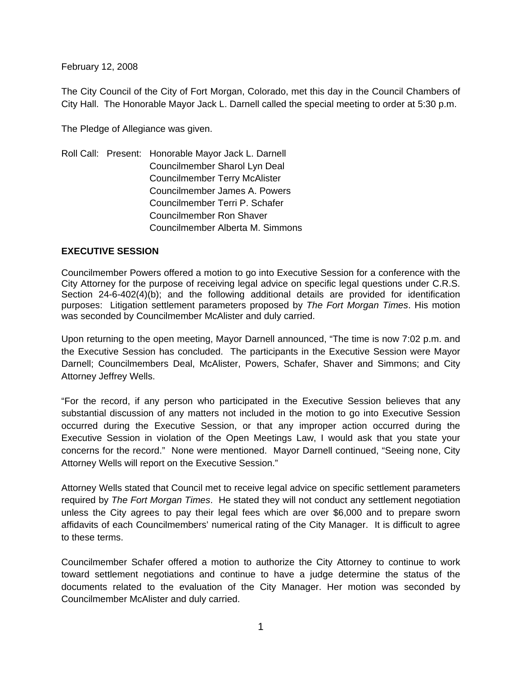February 12, 2008

The City Council of the City of Fort Morgan, Colorado, met this day in the Council Chambers of City Hall. The Honorable Mayor Jack L. Darnell called the special meeting to order at 5:30 p.m.

The Pledge of Allegiance was given.

Roll Call: Present: Honorable Mayor Jack L. Darnell Councilmember Sharol Lyn Deal Councilmember Terry McAlister Councilmember James A. Powers Councilmember Terri P. Schafer Councilmember Ron Shaver Councilmember Alberta M. Simmons

# **EXECUTIVE SESSION**

Councilmember Powers offered a motion to go into Executive Session for a conference with the City Attorney for the purpose of receiving legal advice on specific legal questions under C.R.S. Section 24-6-402(4)(b); and the following additional details are provided for identification purposes: Litigation settlement parameters proposed by *The Fort Morgan Times*. His motion was seconded by Councilmember McAlister and duly carried.

Upon returning to the open meeting, Mayor Darnell announced, "The time is now 7:02 p.m. and the Executive Session has concluded. The participants in the Executive Session were Mayor Darnell; Councilmembers Deal, McAlister, Powers, Schafer, Shaver and Simmons; and City Attorney Jeffrey Wells.

"For the record, if any person who participated in the Executive Session believes that any substantial discussion of any matters not included in the motion to go into Executive Session occurred during the Executive Session, or that any improper action occurred during the Executive Session in violation of the Open Meetings Law, I would ask that you state your concerns for the record." None were mentioned. Mayor Darnell continued, "Seeing none, City Attorney Wells will report on the Executive Session."

Attorney Wells stated that Council met to receive legal advice on specific settlement parameters required by *The Fort Morgan Times*. He stated they will not conduct any settlement negotiation unless the City agrees to pay their legal fees which are over \$6,000 and to prepare sworn affidavits of each Councilmembers' numerical rating of the City Manager. It is difficult to agree to these terms.

Councilmember Schafer offered a motion to authorize the City Attorney to continue to work toward settlement negotiations and continue to have a judge determine the status of the documents related to the evaluation of the City Manager. Her motion was seconded by Councilmember McAlister and duly carried.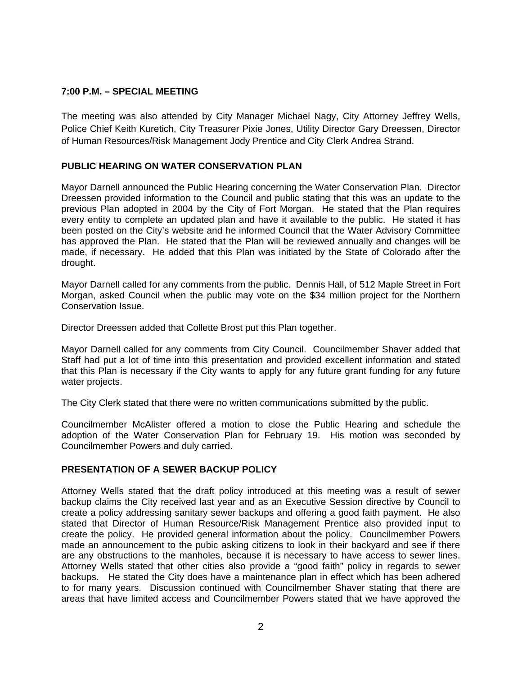## **7:00 P.M. – SPECIAL MEETING**

The meeting was also attended by City Manager Michael Nagy, City Attorney Jeffrey Wells, Police Chief Keith Kuretich, City Treasurer Pixie Jones, Utility Director Gary Dreessen, Director of Human Resources/Risk Management Jody Prentice and City Clerk Andrea Strand.

### **PUBLIC HEARING ON WATER CONSERVATION PLAN**

Mayor Darnell announced the Public Hearing concerning the Water Conservation Plan. Director Dreessen provided information to the Council and public stating that this was an update to the previous Plan adopted in 2004 by the City of Fort Morgan. He stated that the Plan requires every entity to complete an updated plan and have it available to the public. He stated it has been posted on the City's website and he informed Council that the Water Advisory Committee has approved the Plan. He stated that the Plan will be reviewed annually and changes will be made, if necessary. He added that this Plan was initiated by the State of Colorado after the drought.

Mayor Darnell called for any comments from the public. Dennis Hall, of 512 Maple Street in Fort Morgan, asked Council when the public may vote on the \$34 million project for the Northern Conservation Issue.

Director Dreessen added that Collette Brost put this Plan together.

Mayor Darnell called for any comments from City Council. Councilmember Shaver added that Staff had put a lot of time into this presentation and provided excellent information and stated that this Plan is necessary if the City wants to apply for any future grant funding for any future water projects.

The City Clerk stated that there were no written communications submitted by the public.

Councilmember McAlister offered a motion to close the Public Hearing and schedule the adoption of the Water Conservation Plan for February 19. His motion was seconded by Councilmember Powers and duly carried.

#### **PRESENTATION OF A SEWER BACKUP POLICY**

Attorney Wells stated that the draft policy introduced at this meeting was a result of sewer backup claims the City received last year and as an Executive Session directive by Council to create a policy addressing sanitary sewer backups and offering a good faith payment. He also stated that Director of Human Resource/Risk Management Prentice also provided input to create the policy. He provided general information about the policy. Councilmember Powers made an announcement to the pubic asking citizens to look in their backyard and see if there are any obstructions to the manholes, because it is necessary to have access to sewer lines. Attorney Wells stated that other cities also provide a "good faith" policy in regards to sewer backups. He stated the City does have a maintenance plan in effect which has been adhered to for many years. Discussion continued with Councilmember Shaver stating that there are areas that have limited access and Councilmember Powers stated that we have approved the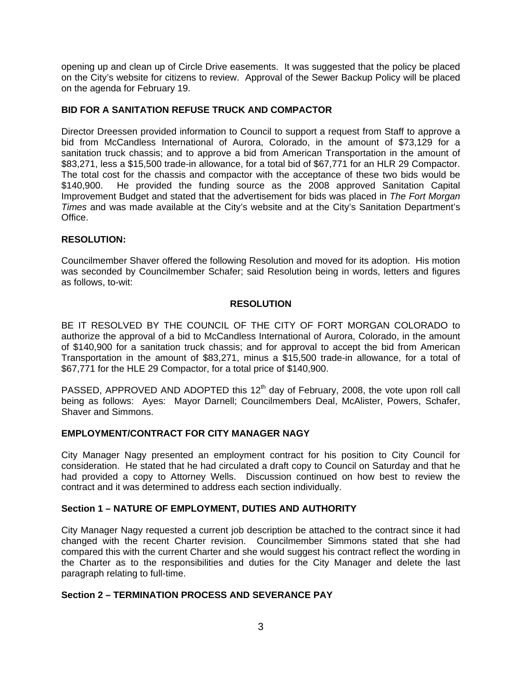opening up and clean up of Circle Drive easements. It was suggested that the policy be placed on the City's website for citizens to review. Approval of the Sewer Backup Policy will be placed on the agenda for February 19.

# **BID FOR A SANITATION REFUSE TRUCK AND COMPACTOR**

Director Dreessen provided information to Council to support a request from Staff to approve a bid from McCandless International of Aurora, Colorado, in the amount of \$73,129 for a sanitation truck chassis; and to approve a bid from American Transportation in the amount of \$83,271, less a \$15,500 trade-in allowance, for a total bid of \$67,771 for an HLR 29 Compactor. The total cost for the chassis and compactor with the acceptance of these two bids would be \$140,900. He provided the funding source as the 2008 approved Sanitation Capital Improvement Budget and stated that the advertisement for bids was placed in *The Fort Morgan Times* and was made available at the City's website and at the City's Sanitation Department's Office.

# **RESOLUTION:**

Councilmember Shaver offered the following Resolution and moved for its adoption. His motion was seconded by Councilmember Schafer; said Resolution being in words, letters and figures as follows, to-wit:

# **RESOLUTION**

BE IT RESOLVED BY THE COUNCIL OF THE CITY OF FORT MORGAN COLORADO to authorize the approval of a bid to McCandless International of Aurora, Colorado, in the amount of \$140,900 for a sanitation truck chassis; and for approval to accept the bid from American Transportation in the amount of \$83,271, minus a \$15,500 trade-in allowance, for a total of \$67,771 for the HLE 29 Compactor, for a total price of \$140,900.

PASSED, APPROVED AND ADOPTED this  $12<sup>th</sup>$  day of February, 2008, the vote upon roll call being as follows: Ayes: Mayor Darnell; Councilmembers Deal, McAlister, Powers, Schafer, Shaver and Simmons.

# **EMPLOYMENT/CONTRACT FOR CITY MANAGER NAGY**

City Manager Nagy presented an employment contract for his position to City Council for consideration. He stated that he had circulated a draft copy to Council on Saturday and that he had provided a copy to Attorney Wells. Discussion continued on how best to review the contract and it was determined to address each section individually.

#### **Section 1 – NATURE OF EMPLOYMENT, DUTIES AND AUTHORITY**

City Manager Nagy requested a current job description be attached to the contract since it had changed with the recent Charter revision. Councilmember Simmons stated that she had compared this with the current Charter and she would suggest his contract reflect the wording in the Charter as to the responsibilities and duties for the City Manager and delete the last paragraph relating to full-time.

#### **Section 2 – TERMINATION PROCESS AND SEVERANCE PAY**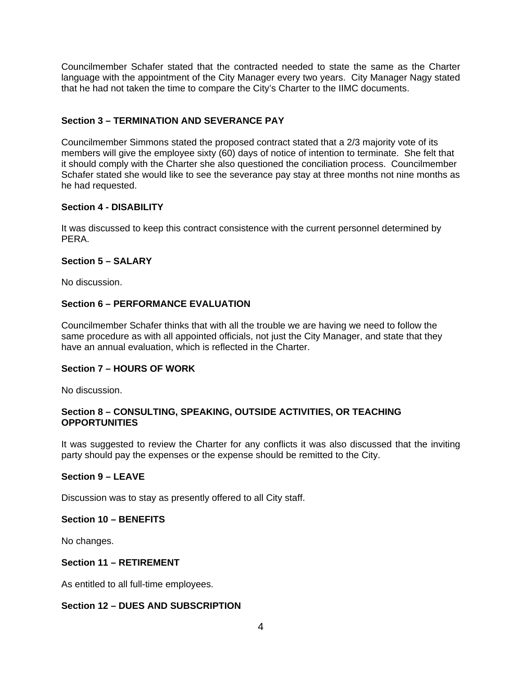Councilmember Schafer stated that the contracted needed to state the same as the Charter language with the appointment of the City Manager every two years. City Manager Nagy stated that he had not taken the time to compare the City's Charter to the IIMC documents.

# **Section 3 – TERMINATION AND SEVERANCE PAY**

Councilmember Simmons stated the proposed contract stated that a 2/3 majority vote of its members will give the employee sixty (60) days of notice of intention to terminate. She felt that it should comply with the Charter she also questioned the conciliation process. Councilmember Schafer stated she would like to see the severance pay stay at three months not nine months as he had requested.

### **Section 4 - DISABILITY**

It was discussed to keep this contract consistence with the current personnel determined by PERA.

### **Section 5 – SALARY**

No discussion.

### **Section 6 – PERFORMANCE EVALUATION**

Councilmember Schafer thinks that with all the trouble we are having we need to follow the same procedure as with all appointed officials, not just the City Manager, and state that they have an annual evaluation, which is reflected in the Charter.

#### **Section 7 – HOURS OF WORK**

No discussion.

### **Section 8 – CONSULTING, SPEAKING, OUTSIDE ACTIVITIES, OR TEACHING OPPORTUNITIES**

It was suggested to review the Charter for any conflicts it was also discussed that the inviting party should pay the expenses or the expense should be remitted to the City.

# **Section 9 – LEAVE**

Discussion was to stay as presently offered to all City staff.

#### **Section 10 – BENEFITS**

No changes.

# **Section 11 – RETIREMENT**

As entitled to all full-time employees.

# **Section 12 – DUES AND SUBSCRIPTION**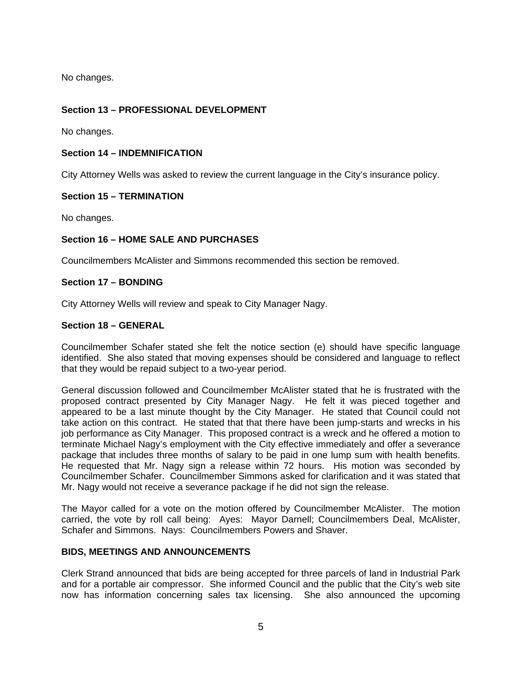No changes.

# **Section 13 – PROFESSIONAL DEVELOPMENT**

No changes.

## **Section 14 – INDEMNIFICATION**

City Attorney Wells was asked to review the current language in the City's insurance policy.

### **Section 15 – TERMINATION**

No changes.

# **Section 16 – HOME SALE AND PURCHASES**

Councilmembers McAlister and Simmons recommended this section be removed.

#### **Section 17 – BONDING**

City Attorney Wells will review and speak to City Manager Nagy.

### **Section 18 – GENERAL**

Councilmember Schafer stated she felt the notice section (e) should have specific language identified. She also stated that moving expenses should be considered and language to reflect that they would be repaid subject to a two-year period.

General discussion followed and Councilmember McAlister stated that he is frustrated with the proposed contract presented by City Manager Nagy. He felt it was pieced together and appeared to be a last minute thought by the City Manager. He stated that Council could not take action on this contract. He stated that that there have been jump-starts and wrecks in his job performance as City Manager. This proposed contract is a wreck and he offered a motion to terminate Michael Nagy's employment with the City effective immediately and offer a severance package that includes three months of salary to be paid in one lump sum with health benefits. He requested that Mr. Nagy sign a release within 72 hours. His motion was seconded by Councilmember Schafer. Councilmember Simmons asked for clarification and it was stated that Mr. Nagy would not receive a severance package if he did not sign the release.

The Mayor called for a vote on the motion offered by Councilmember McAlister. The motion carried, the vote by roll call being: Ayes: Mayor Darnell; Councilmembers Deal, McAlister, Schafer and Simmons. Nays: Councilmembers Powers and Shaver.

# **BIDS, MEETINGS AND ANNOUNCEMENTS**

Clerk Strand announced that bids are being accepted for three parcels of land in Industrial Park and for a portable air compressor. She informed Council and the public that the City's web site now has information concerning sales tax licensing. She also announced the upcoming